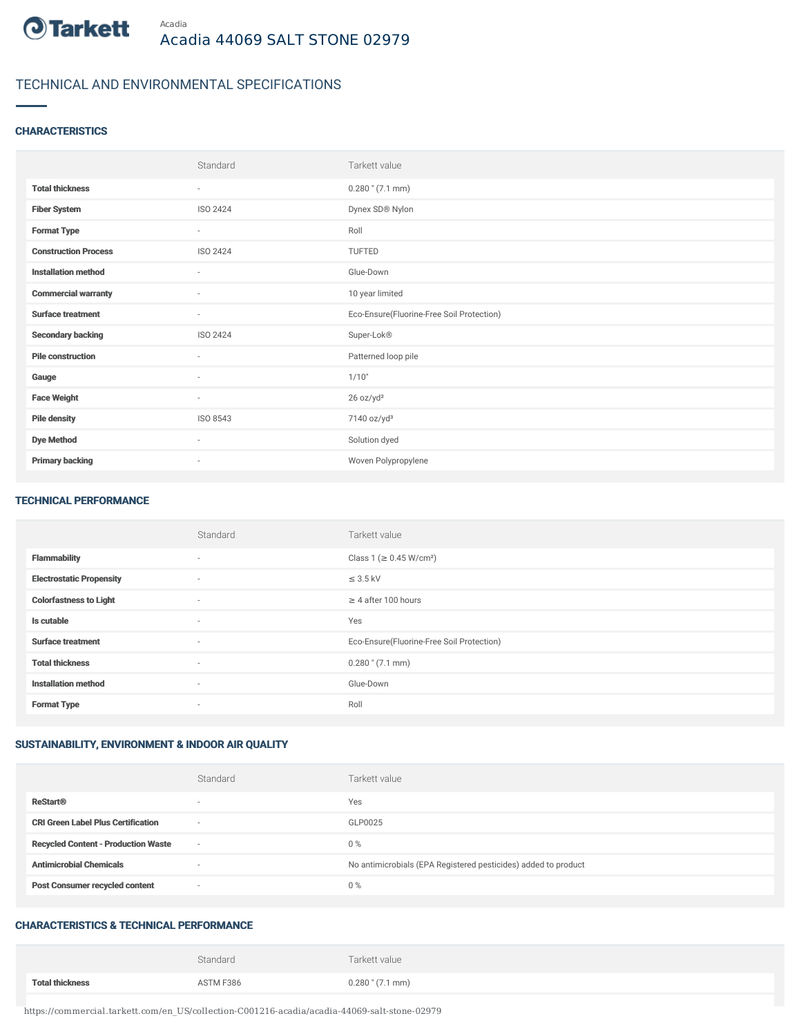

# TECHNICAL AND ENVIRONMENTAL SPECIFICATIONS

### **CHARACTERISTICS**

|                             | Standard        | Tarkett value                             |
|-----------------------------|-----------------|-------------------------------------------|
| <b>Total thickness</b>      | ٠               | $0.280$ " $(7.1$ mm)                      |
| <b>Fiber System</b>         | ISO 2424        | Dynex SD® Nylon                           |
| <b>Format Type</b>          | $\sim$          | Roll                                      |
| <b>Construction Process</b> | <b>ISO 2424</b> | TUFTED                                    |
| <b>Installation method</b>  | ٠               | Glue-Down                                 |
| <b>Commercial warranty</b>  | $\sim$          | 10 year limited                           |
| <b>Surface treatment</b>    | ٠               | Eco-Ensure(Fluorine-Free Soil Protection) |
| <b>Secondary backing</b>    | ISO 2424        | Super-Lok®                                |
| <b>Pile construction</b>    | $\sim$          | Patterned loop pile                       |
| Gauge                       | $\sim$          | 1/10"                                     |
| <b>Face Weight</b>          | $\sim$          | 26 oz/yd <sup>2</sup>                     |
| <b>Pile density</b>         | ISO 8543        | 7140 oz/yd <sup>3</sup>                   |
| <b>Dye Method</b>           | $\sim$          | Solution dyed                             |
| <b>Primary backing</b>      | ٠               | Woven Polypropylene                       |

#### TECHNICAL PERFORMANCE

|                                 | Standard                 | Tarkett value                             |
|---------------------------------|--------------------------|-------------------------------------------|
| <b>Flammability</b>             | $\sim$                   | Class 1 ( $\geq$ 0.45 W/cm <sup>2</sup> ) |
| <b>Electrostatic Propensity</b> | $\sim$                   | $\leq$ 3.5 kV                             |
| <b>Colorfastness to Light</b>   | $\sim$                   | $\geq 4$ after 100 hours                  |
| Is cutable                      | $\sim$                   | Yes                                       |
| <b>Surface treatment</b>        | $\sim$                   | Eco-Ensure(Fluorine-Free Soil Protection) |
| <b>Total thickness</b>          | $\sim$                   | $0.280$ " (7.1 mm)                        |
| <b>Installation method</b>      | $\sim$                   | Glue-Down                                 |
| <b>Format Type</b>              | $\overline{\phantom{a}}$ | Roll                                      |

# SUSTAINABILITY, ENVIRONMENT & INDOOR AIR QUALITY

|                                            | Standard | Tarkett value                                                  |
|--------------------------------------------|----------|----------------------------------------------------------------|
| <b>ReStart®</b>                            |          | Yes                                                            |
| <b>CRI Green Label Plus Certification</b>  | $\sim$   | GLP0025                                                        |
| <b>Recycled Content - Production Waste</b> | $\sim$   | 0%                                                             |
| <b>Antimicrobial Chemicals</b>             |          | No antimicrobials (EPA Registered pesticides) added to product |
| <b>Post Consumer recycled content</b>      | $\sim$   | 0%                                                             |

### CHARACTERISTICS & TECHNICAL PERFORMANCE

|                        | Standard  | Tarkett value        |
|------------------------|-----------|----------------------|
| <b>Total thickness</b> | ASTM F386 | $0.280$ " $(7.1$ mm) |